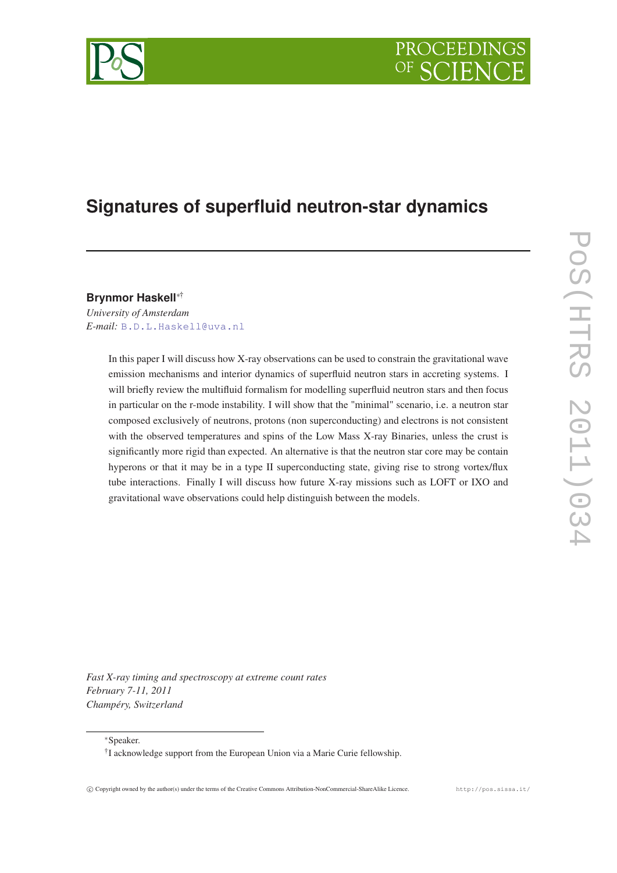# PROCEEDIN



# **Signatures of superfluid neutron-star dynamics**

**Brynmor Haskell**∗†

*University of Amsterdam E-mail:* [B.D.L.Haskell@uva.nl](mailto:B.D.L.Haskell@uva.nl)

> In this paper I will discuss how X-ray observations can be used to constrain the gravitational wave emission mechanisms and interior dynamics of superfluid neutron stars in accreting systems. I will briefly review the multifluid formalism for modelling superfluid neutron stars and then focus in particular on the r-mode instability. I will show that the "minimal" scenario, i.e. a neutron star composed exclusively of neutrons, protons (non superconducting) and electrons is not consistent with the observed temperatures and spins of the Low Mass X-ray Binaries, unless the crust is significantly more rigid than expected. An alternative is that the neutron star core may be contain hyperons or that it may be in a type II superconducting state, giving rise to strong vortex/flux tube interactions. Finally I will discuss how future X-ray missions such as LOFT or IXO and gravitational wave observations could help distinguish between the models.

*Fast X-ray timing and spectroscopy at extreme count rates February 7-11, 2011 Champéry, Switzerland*

<sup>∗</sup>Speaker.

<sup>†</sup> I acknowledge support from the European Union via a Marie Curie fellowship.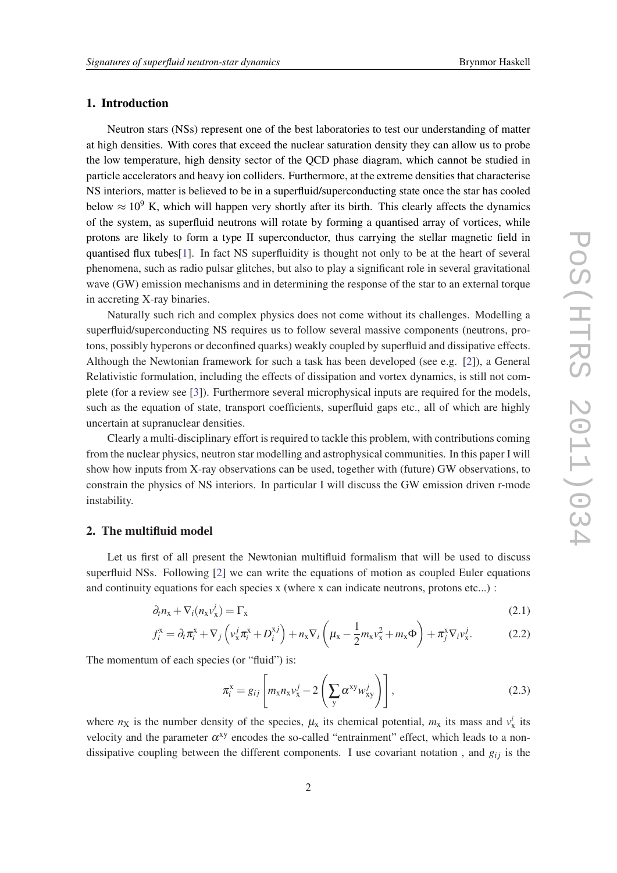# <span id="page-1-0"></span>1. Introduction

Neutron stars (NSs) represent one of the best laboratories to test our understanding of matter at high densities. With cores that exceed the nuclear saturation density they can allow us to probe the low temperature, high density sector of the QCD phase diagram, which cannot be studied in particle accelerators and heavy ion colliders. Furthermore, at the extreme densities that characterise NS interiors, matter is believed to be in a superfluid/superconducting state once the star has cooled below  $\approx 10^9$  K, which will happen very shortly after its birth. This clearly affects the dynamics of the system, as superfluid neutrons will rotate by forming a quantised array of vortices, while protons are likely to form a type II superconductor, thus carrying the stellar magnetic field in quantised flux tubes[[1](#page-4-0)]. In fact NS superfluidity is thought not only to be at the heart of several phenomena, such as radio pulsar glitches, but also to play a significant role in several gravitational wave (GW) emission mechanisms and in determining the response of the star to an external torque in accreting X-ray binaries.

Naturally such rich and complex physics does not come without its challenges. Modelling a superfluid/superconducting NS requires us to follow several massive components (neutrons, protons, possibly hyperons or deconfined quarks) weakly coupled by superfluid and dissipative effects. Although the Newtonian framework for such a task has been developed (see e.g. [\[2\]](#page-4-0)), a General Relativistic formulation, including the effects of dissipation and vortex dynamics, is still not complete (for a review see [[3](#page-5-0)]). Furthermore several microphysical inputs are required for the models, such as the equation of state, transport coefficients, superfluid gaps etc., all of which are highly uncertain at supranuclear densities.

Clearly a multi-disciplinary effort is required to tackle this problem, with contributions coming from the nuclear physics, neutron star modelling and astrophysical communities. In this paper I will show how inputs from X-ray observations can be used, together with (future) GW observations, to constrain the physics of NS interiors. In particular I will discuss the GW emission driven r-mode instability.

## 2. The multifluid model

Let us first of all present the Newtonian multifluid formalism that will be used to discuss superfluid NSs. Following [\[2](#page-4-0)] we can write the equations of motion as coupled Euler equations and continuity equations for each species x (where x can indicate neutrons, protons etc...) :

$$
\partial_t n_x + \nabla_i (n_x v_x^i) = \Gamma_x \tag{2.1}
$$

$$
f_i^{\mathbf{x}} = \partial_t \pi_i^{\mathbf{x}} + \nabla_j \left( \nu_x^j \pi_i^{\mathbf{x}} + D_i^{\mathbf{x}j} \right) + n_{\mathbf{x}} \nabla_i \left( \mu_{\mathbf{x}} - \frac{1}{2} m_{\mathbf{x}} \nu_{\mathbf{x}}^2 + m_{\mathbf{x}} \Phi \right) + \pi_j^{\mathbf{x}} \nabla_i \nu_{\mathbf{x}}^j. \tag{2.2}
$$

The momentum of each species (or "fluid") is:

$$
\pi_i^x = g_{ij} \left[ m_x n_x v_x^j - 2 \left( \sum_y \alpha^{xy} w_{xy}^j \right) \right],
$$
\n(2.3)

where  $n_X$  is the number density of the species,  $\mu_X$  its chemical potential,  $m_X$  its mass and  $v_X^i$  its velocity and the parameter  $\alpha^{xy}$  encodes the so-called "entrainment" effect, which leads to a nondissipative coupling between the different components. I use covariant notation, and  $g_{ij}$  is the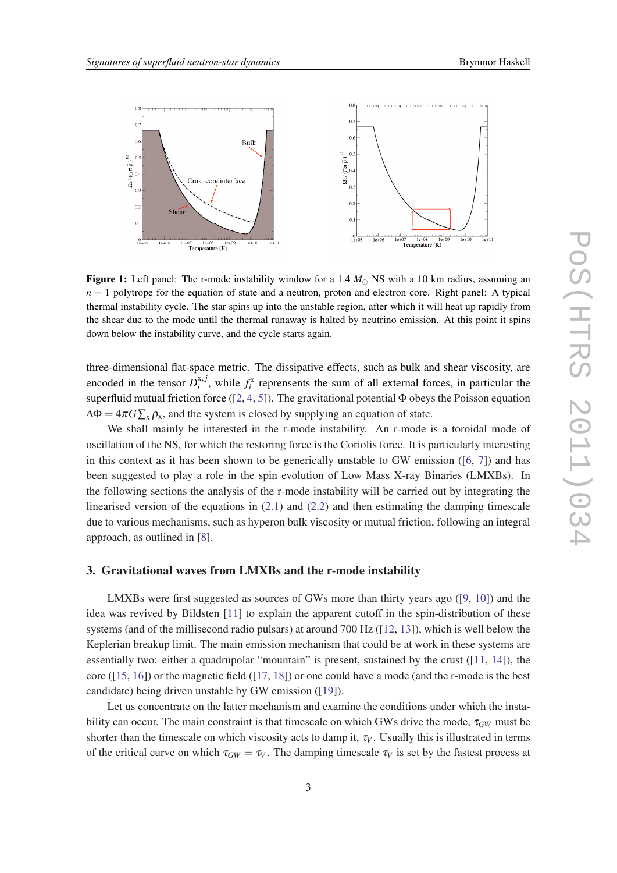<span id="page-2-0"></span>

**Figure 1:** Left panel: The r-mode instability window for a 1.4  $M_{\odot}$  NS with a 10 km radius, assuming an  $n = 1$  polytrope for the equation of state and a neutron, proton and electron core. Right panel: A typical thermal instability cycle. The star spins up into the unstable region, after which it will heat up rapidly from the shear due to the mode until the thermal runaway is halted by neutrino emission. At this point it spins down below the instability curve, and the cycle starts again.

three-dimensional flat-space metric. The dissipative effects, such as bulk and shear viscosity, are encoded in the tensor  $D_i^{x,j}$  $x_i^{x,j}$ , while  $f_i^x$  reprensents the sum of all external forces, in particular the superfluid mutual friction force ( $[2, 4, 5]$  $[2, 4, 5]$  $[2, 4, 5]$  $[2, 4, 5]$  $[2, 4, 5]$  $[2, 4, 5]$ ). The gravitational potential  $\Phi$  obeys the Poisson equation  $\Delta \Phi = 4\pi G \sum_{x} \rho_{x}$ , and the system is closed by supplying an equation of state.

We shall mainly be interested in the r-mode instability. An r-mode is a toroidal mode of oscillation of the NS, for which the restoring force is the Coriolis force. It is particularly interesting in this context as it has been shown to be generically unstable to GW emission ([[6](#page-5-0), [7](#page-5-0)]) and has been suggested to play a role in the spin evolution of Low Mass X-ray Binaries (LMXBs). In the following sections the analysis of the r-mode instability will be carried out by integrating the linearised version of the equations in  $(2.1)$  and  $(2.2)$  $(2.2)$  and then estimating the damping timescale due to various mechanisms, such as hyperon bulk viscosity or mutual friction, following an integral approach, as outlined in [[8](#page-5-0)].

#### 3. Gravitational waves from LMXBs and the r-mode instability

LMXBs were first suggested as sources of GWs more than thirty years ago ([[9](#page-5-0), [10](#page-5-0)]) and the idea was revived by Bildsten [\[11](#page-5-0)] to explain the apparent cutoff in the spin-distribution of these systems (and of the millisecond radio pulsars) at around 700 Hz ([[12,](#page-5-0) [13\]](#page-5-0)), which is well below the Keplerian breakup limit. The main emission mechanism that could be at work in these systems are essentially two: either a quadrupolar "mountain" is present, sustained by the crust  $(11, 14)$  $(11, 14)$  $(11, 14)$ , the core ( $[15, 16]$  $[15, 16]$  $[15, 16]$  $[15, 16]$ ) or the magnetic field ( $[17, 18]$  $[17, 18]$  $[17, 18]$  $[17, 18]$ ) or one could have a mode (and the r-mode is the best candidate) being driven unstable by GW emission ([\[19\]](#page-5-0)).

Let us concentrate on the latter mechanism and examine the conditions under which the instability can occur. The main constraint is that timescale on which GWs drive the mode,  $\tau_{GW}$  must be shorter than the timescale on which viscosity acts to damp it,  $\tau_V$ . Usually this is illustrated in terms of the critical curve on which  $\tau_{GW} = \tau_V$ . The damping timescale  $\tau_V$  is set by the fastest process at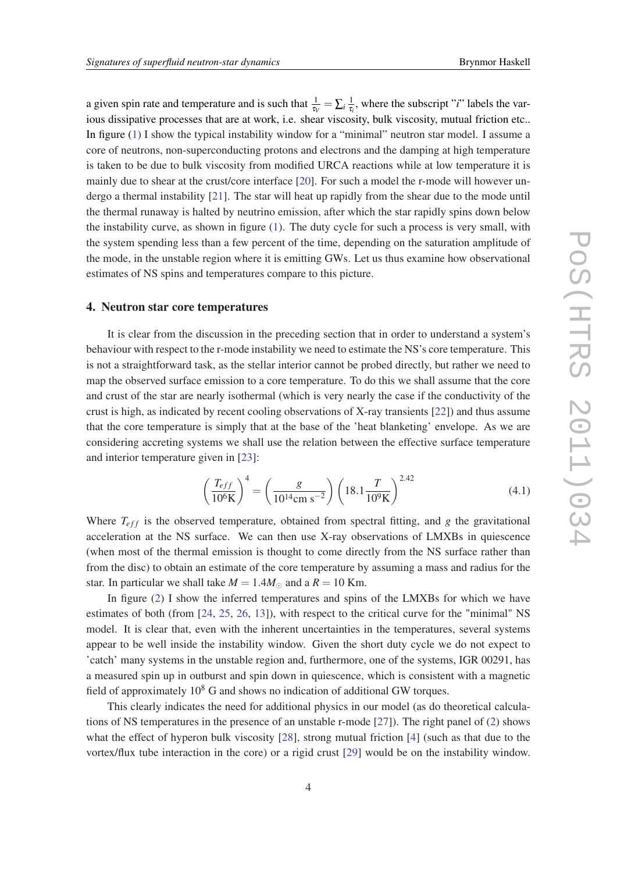a given spin rate and temperature and is such that  $\frac{1}{\tau_V} = \sum_i \frac{1}{\tau_i}$  $\frac{1}{\tau_i}$ , where the subscript "*i*" labels the various dissipative processes that are at work, i.e. shear viscosity, bulk viscosity, mutual friction etc.. In figure [\(1\)](#page-2-0) I show the typical instability window for a "minimal" neutron star model. I assume a core of neutrons, non-superconducting protons and electrons and the damping at high temperature is taken to be due to bulk viscosity from modified URCA reactions while at low temperature it is mainly due to shear at the crust/core interface [[20\]](#page-5-0). For such a model the r-mode will however undergo a thermal instability [[21\]](#page-5-0). The star will heat up rapidly from the shear due to the mode until the thermal runaway is halted by neutrino emission, after which the star rapidly spins down below the instability curve, as shown in figure [\(1\)](#page-2-0). The duty cycle for such a process is very small, with the system spending less than a few percent of the time, depending on the saturation amplitude of the mode, in the unstable region where it is emitting GWs. Let us thus examine how observational estimates of NS spins and temperatures compare to this picture.

#### 4. Neutron star core temperatures

It is clear from the discussion in the preceding section that in order to understand a system's behaviour with respect to the r-mode instability we need to estimate the NS's core temperature. This is not a straightforward task, as the stellar interior cannot be probed directly, but rather we need to map the observed surface emission to a core temperature. To do this we shall assume that the core and crust of the star are nearly isothermal (which is very nearly the case if the conductivity of the crust is high, as indicated by recent cooling observations of X-ray transients [[22\]](#page-5-0)) and thus assume that the core temperature is simply that at the base of the 'heat blanketing' envelope. As we are considering accreting systems we shall use the relation between the effective surface temperature and interior temperature given in [[23\]](#page-5-0):

$$
\left(\frac{T_{eff}}{10^6\text{K}}\right)^4 = \left(\frac{g}{10^{14}\text{cm s}^{-2}}\right) \left(18.1 \frac{T}{10^9\text{K}}\right)^{2.42} \tag{4.1}
$$

Where  $T_{eff}$  is the observed temperature, obtained from spectral fitting, and *g* the gravitational acceleration at the NS surface. We can then use X-ray observations of LMXBs in quiescence (when most of the thermal emission is thought to come directly from the NS surface rather than from the disc) to obtain an estimate of the core temperature by assuming a mass and radius for the star. In particular we shall take  $M = 1.4 M_{\odot}$  and a  $R = 10$  Km.

In figure ([2](#page-4-0)) I show the inferred temperatures and spins of the LMXBs for which we have estimates of both (from [\[24](#page-5-0), [25](#page-5-0), [26](#page-5-0), [13](#page-5-0)]), with respect to the critical curve for the "minimal" NS model. It is clear that, even with the inherent uncertainties in the temperatures, several systems appear to be well inside the instability window. Given the short duty cycle we do not expect to 'catch' many systems in the unstable region and, furthermore, one of the systems, IGR 00291, has a measured spin up in outburst and spin down in quiescence, which is consistent with a magnetic field of approximately  $10^8$  G and shows no indication of additional GW torques.

This clearly indicates the need for additional physics in our model (as do theoretical calculations of NS temperatures in the presence of an unstable r-mode [\[27](#page-5-0)]). The right panel of [\(2\)](#page-4-0) shows what the effect of hyperon bulk viscosity [\[28](#page-5-0)], strong mutual friction [\[4\]](#page-5-0) (such as that due to the vortex/flux tube interaction in the core) or a rigid crust [\[29](#page-5-0)] would be on the instability window.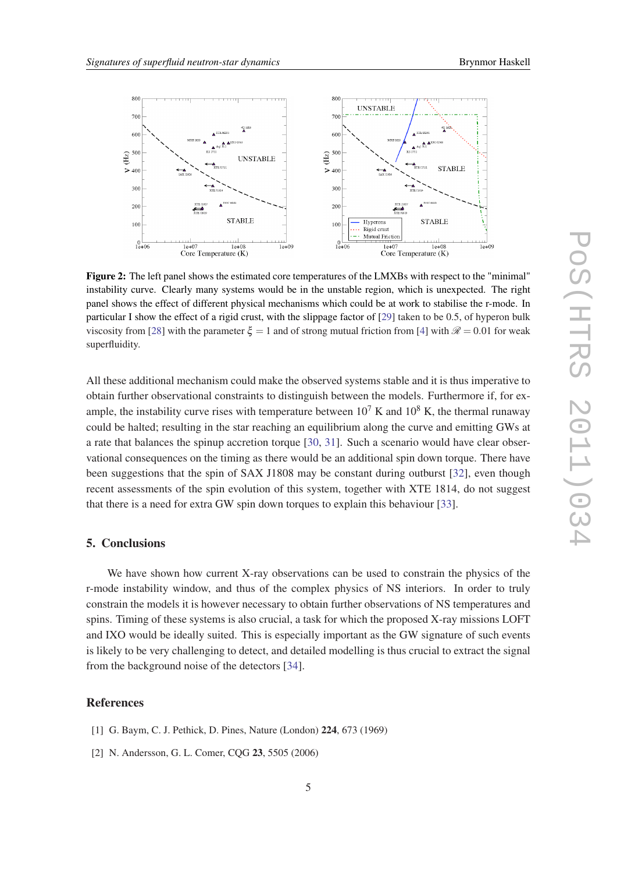

<span id="page-4-0"></span>

Figure 2: The left panel shows the estimated core temperatures of the LMXBs with respect to the "minimal" instability curve. Clearly many systems would be in the unstable region, which is unexpected. The right panel shows the effect of different physical mechanisms which could be at work to stabilise the r-mode. In particular I show the effect of a rigid crust, with the slippage factor of [\[29](#page-5-0)] taken to be 0.5, of hyperon bulk viscosity from [\[28](#page-5-0)] with the parameter  $\xi = 1$  and of strong mutual friction from [\[4](#page-5-0)] with  $\mathcal{R} = 0.01$  for weak superfluidity.

All these additional mechanism could make the observed systems stable and it is thus imperative to obtain further observational constraints to distinguish between the models. Furthermore if, for example, the instability curve rises with temperature between  $10^7$  K and  $10^8$  K, the thermal runaway could be halted; resulting in the star reaching an equilibrium along the curve and emitting GWs at a rate that balances the spinup accretion torque [[30,](#page-5-0) [31](#page-5-0)]. Such a scenario would have clear observational consequences on the timing as there would be an additional spin down torque. There have been suggestions that the spin of SAX J1808 may be constant during outburst [\[32](#page-5-0)], even though recent assessments of the spin evolution of this system, together with XTE 1814, do not suggest that there is a need for extra GW spin down torques to explain this behaviour [\[33](#page-5-0)].

# 5. Conclusions

We have shown how current X-ray observations can be used to constrain the physics of the r-mode instability window, and thus of the complex physics of NS interiors. In order to truly constrain the models it is however necessary to obtain further observations of NS temperatures and spins. Timing of these systems is also crucial, a task for which the proposed X-ray missions LOFT and IXO would be ideally suited. This is especially important as the GW signature of such events is likely to be very challenging to detect, and detailed modelling is thus crucial to extract the signal from the background noise of the detectors [[34\]](#page-5-0).

## References

- [1] G. Baym, C. J. Pethick, D. Pines, Nature (London) 224, 673 (1969)
- [2] N. Andersson, G. L. Comer, CQG 23, 5505 (2006)